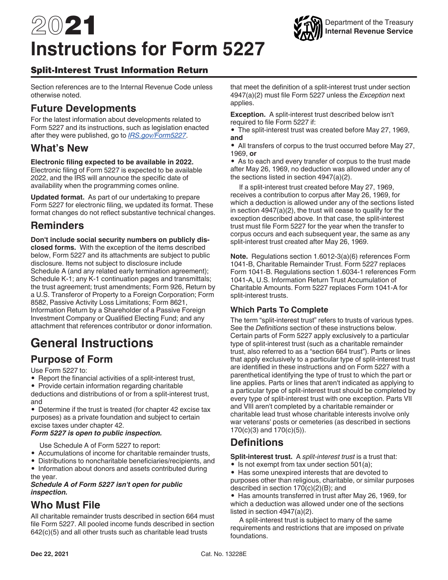# 2021 **Instructions for Form 5227**



### Split-Interest Trust Information Return

Section references are to the Internal Revenue Code unless otherwise noted.

# **Future Developments**

For the latest information about developments related to Form 5227 and its instructions, such as legislation enacted after they were published, go to *[IRS.gov/Form5227](https://www.irs.gov/form5227)*.

# **What's New**

#### **Electronic filing expected to be available in 2022.**

Electronic filing of Form 5227 is expected to be available 2022, and the IRS will announce the specific date of availability when the programming comes online.

**Updated format.** As part of our undertaking to prepare Form 5227 for electronic filing, we updated its format. These format changes do not reflect substantive technical changes.

# **Reminders**

**Don't include social security numbers on publicly disclosed forms.** With the exception of the items described below, Form 5227 and its attachments are subject to public disclosure. Items not subject to disclosure include Schedule A (and any related early termination agreement); Schedule K-1; any K-1 continuation pages and transmittals; the trust agreement; trust amendments; Form 926, Return by a U.S. Transferor of Property to a Foreign Corporation; Form 8582, Passive Activity Loss Limitations; Form 8621, Information Return by a Shareholder of a Passive Foreign Investment Company or Qualified Electing Fund; and any attachment that references contributor or donor information.

# **General Instructions**

# **Purpose of Form**

Use Form 5227 to:

- Report the financial activities of a split-interest trust,
- Provide certain information regarding charitable

deductions and distributions of or from a split-interest trust, and

• Determine if the trust is treated (for chapter 42 excise tax purposes) as a private foundation and subject to certain excise taxes under chapter 42.

#### *Form 5227 is open to public inspection.*

- Use Schedule A of Form 5227 to report:
- Accumulations of income for charitable remainder trusts,
- Distributions to noncharitable beneficiaries/recipients, and
- Information about donors and assets contributed during the year.

#### *Schedule A of Form 5227 isn't open for public inspection.*

# **Who Must File**

All charitable remainder trusts described in section 664 must file Form 5227. All pooled income funds described in section 642(c)(5) and all other trusts such as charitable lead trusts

that meet the definition of a split-interest trust under section 4947(a)(2) must file Form 5227 unless the *Exception* next applies.

**Exception.** A split-interest trust described below isn't required to file Form 5227 if:

• The split-interest trust was created before May 27, 1969, **and**

• All transfers of corpus to the trust occurred before May 27, 1969, **or**

• As to each and every transfer of corpus to the trust made after May 26, 1969, no deduction was allowed under any of the sections listed in section 4947(a)(2).

If a split-interest trust created before May 27, 1969, receives a contribution to corpus after May 26, 1969, for which a deduction is allowed under any of the sections listed in section 4947(a)(2), the trust will cease to qualify for the exception described above. In that case, the split-interest trust must file Form 5227 for the year when the transfer to corpus occurs and each subsequent year, the same as any split-interest trust created after May 26, 1969.

**Note.** Regulations section 1.6012-3(a)(6) references Form 1041-B, Charitable Remainder Trust. Form 5227 replaces Form 1041-B. Regulations section 1.6034-1 references Form 1041-A, U.S. Information Return Trust Accumulation of Charitable Amounts. Form 5227 replaces Form 1041-A for split-interest trusts.

### **Which Parts To Complete**

The term "split-interest trust" refers to trusts of various types. See the *Definitions* section of these instructions below. Certain parts of Form 5227 apply exclusively to a particular type of split-interest trust (such as a charitable remainder trust, also referred to as a "section 664 trust"). Parts or lines that apply exclusively to a particular type of split-interest trust are identified in these instructions and on Form 5227 with a parenthetical identifying the type of trust to which the part or line applies. Parts or lines that aren't indicated as applying to a particular type of split-interest trust should be completed by every type of split-interest trust with one exception. Parts VII and VIII aren't completed by a charitable remainder or charitable lead trust whose charitable interests involve only war veterans' posts or cemeteries (as described in sections 170(c)(3) and 170(c)(5)).

# **Definitions**

**Split-interest trust.** A *split-interest trust* is a trust that:

- Is not exempt from tax under section 501(a);
- Has some unexpired interests that are devoted to purposes other than religious, charitable, or similar purposes described in section 170(c)(2)(B); and

• Has amounts transferred in trust after May 26, 1969, for which a deduction was allowed under one of the sections listed in section 4947(a)(2).

A split-interest trust is subject to many of the same requirements and restrictions that are imposed on private foundations.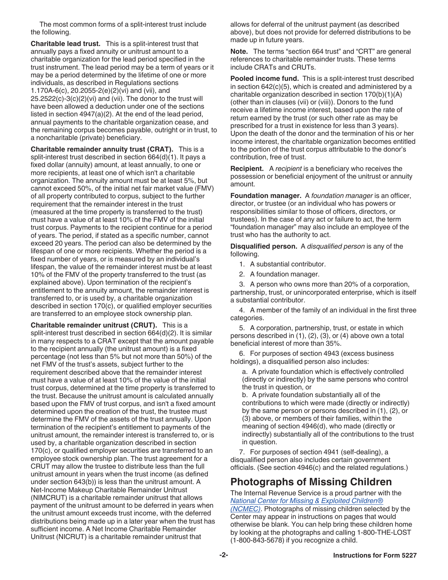The most common forms of a split-interest trust include the following.

**Charitable lead trust.** This is a split-interest trust that annually pays a fixed annuity or unitrust amount to a charitable organization for the lead period specified in the trust instrument. The lead period may be a term of years or it may be a period determined by the lifetime of one or more individuals, as described in Regulations sections 1.170A-6(c), 20.2055-2(e)(2)(vi) and (vii), and  $25.2522(c)-3(c)(2)(vi)$  and (vii). The donor to the trust will have been allowed a deduction under one of the sections listed in section 4947(a)(2). At the end of the lead period, annual payments to the charitable organization cease, and the remaining corpus becomes payable, outright or in trust, to a noncharitable (private) beneficiary.

**Charitable remainder annuity trust (CRAT).** This is a split-interest trust described in section 664(d)(1). It pays a fixed dollar (annuity) amount, at least annually, to one or more recipients, at least one of which isn't a charitable organization. The annuity amount must be at least 5%, but cannot exceed 50%, of the initial net fair market value (FMV) of all property contributed to corpus, subject to the further requirement that the remainder interest in the trust (measured at the time property is transferred to the trust) must have a value of at least 10% of the FMV of the initial trust corpus. Payments to the recipient continue for a period of years. The period, if stated as a specific number, cannot exceed 20 years. The period can also be determined by the lifespan of one or more recipients. Whether the period is a fixed number of years, or is measured by an individual's lifespan, the value of the remainder interest must be at least 10% of the FMV of the property transferred to the trust (as explained above). Upon termination of the recipient's entitlement to the annuity amount, the remainder interest is transferred to, or is used by, a charitable organization described in section 170(c), or qualified employer securities are transferred to an employee stock ownership plan.

**Charitable remainder unitrust (CRUT).** This is a split-interest trust described in section 664(d)(2). It is similar in many respects to a CRAT except that the amount payable to the recipient annually (the unitrust amount) is a fixed percentage (not less than 5% but not more than 50%) of the net FMV of the trust's assets, subject further to the requirement described above that the remainder interest must have a value of at least 10% of the value of the initial trust corpus, determined at the time property is transferred to the trust. Because the unitrust amount is calculated annually based upon the FMV of trust corpus, and isn't a fixed amount determined upon the creation of the trust, the trustee must determine the FMV of the assets of the trust annually. Upon termination of the recipient's entitlement to payments of the unitrust amount, the remainder interest is transferred to, or is used by, a charitable organization described in section 170(c), or qualified employer securities are transferred to an employee stock ownership plan. The trust agreement for a CRUT may allow the trustee to distribute less than the full unitrust amount in years when the trust income (as defined under section 643(b)) is less than the unitrust amount. A Net-Income Makeup Charitable Remainder Unitrust (NIMCRUT) is a charitable remainder unitrust that allows payment of the unitrust amount to be deferred in years when the unitrust amount exceeds trust income, with the deferred distributions being made up in a later year when the trust has sufficient income. A Net Income Charitable Remainder Unitrust (NICRUT) is a charitable remainder unitrust that

allows for deferral of the unitrust payment (as described above), but does not provide for deferred distributions to be made up in future years.

**Note.** The terms "section 664 trust" and "CRT" are general references to charitable remainder trusts. These terms include CRATs and CRUTs.

**Pooled income fund.** This is a split-interest trust described in section 642(c)(5), which is created and administered by a charitable organization described in section 170(b)(1)(A) (other than in clauses (vii) or (viii)). Donors to the fund receive a lifetime income interest, based upon the rate of return earned by the trust (or such other rate as may be prescribed for a trust in existence for less than 3 years). Upon the death of the donor and the termination of his or her income interest, the charitable organization becomes entitled to the portion of the trust corpus attributable to the donor's contribution, free of trust.

**Recipient.** A *recipient* is a beneficiary who receives the possession or beneficial enjoyment of the unitrust or annuity amount.

**Foundation manager.** A *foundation manager* is an officer, director, or trustee (or an individual who has powers or responsibilities similar to those of officers, directors, or trustees). In the case of any act or failure to act, the term "foundation manager" may also include an employee of the trust who has the authority to act.

**Disqualified person.** A *disqualified person* is any of the following.

- 1. A substantial contributor.
- 2. A foundation manager.

3. A person who owns more than 20% of a corporation, partnership, trust, or unincorporated enterprise, which is itself a substantial contributor.

4. A member of the family of an individual in the first three categories.

5. A corporation, partnership, trust, or estate in which persons described in (1), (2), (3), or (4) above own a total beneficial interest of more than 35%.

6. For purposes of section 4943 (excess business holdings), a disqualified person also includes:

a. A private foundation which is effectively controlled (directly or indirectly) by the same persons who control the trust in question, or

b. A private foundation substantially all of the contributions to which were made (directly or indirectly) by the same person or persons described in (1), (2), or (3) above, or members of their families, within the meaning of section 4946(d), who made (directly or indirectly) substantially all of the contributions to the trust in question.

7. For purposes of section 4941 (self-dealing), a disqualified person also includes certain government officials. (See section 4946(c) and the related regulations.)

# **Photographs of Missing Children**

The Internal Revenue Service is a proud partner with the *[National Center for Missing & Exploited Children®](http://www.missingkids.com/home) [\(NCMEC\)](http://www.missingkids.com/home)*. Photographs of missing children selected by the Center may appear in instructions on pages that would otherwise be blank. You can help bring these children home by looking at the photographs and calling 1-800-THE-LOST (1-800-843-5678) if you recognize a child.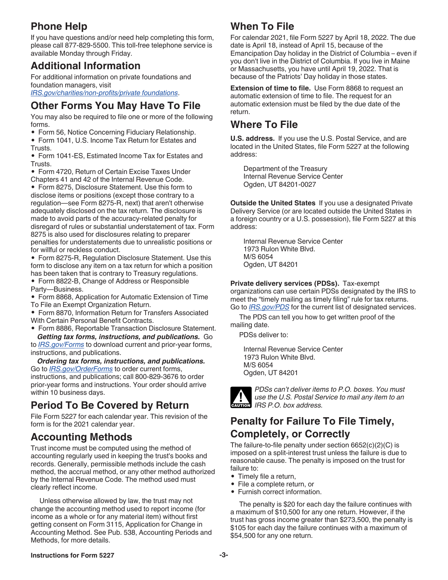# **Phone Help**

If you have questions and/or need help completing this form, please call 877-829-5500. This toll-free telephone service is available Monday through Friday.

# **Additional Information**

For additional information on private foundations and foundation managers, visit

*[IRS.gov/charities/non-profits/private foundations](https://www.irs.gov/charities-non-profits/private-foundations)*.

# **Other Forms You May Have To File**

You may also be required to file one or more of the following forms.

• Form 56, Notice Concerning Fiduciary Relationship.

• Form 1041, U.S. Income Tax Return for Estates and Trusts.

• Form 1041-ES, Estimated Income Tax for Estates and Trusts.

• Form 4720, Return of Certain Excise Taxes Under Chapters 41 and 42 of the Internal Revenue Code.

• Form 8275, Disclosure Statement. Use this form to disclose items or positions (except those contrary to a regulation—see Form 8275-R, next) that aren't otherwise adequately disclosed on the tax return. The disclosure is made to avoid parts of the accuracy-related penalty for disregard of rules or substantial understatement of tax. Form 8275 is also used for disclosures relating to preparer penalties for understatements due to unrealistic positions or for willful or reckless conduct.

• Form 8275-R, Regulation Disclosure Statement. Use this form to disclose any item on a tax return for which a position has been taken that is contrary to Treasury regulations.

• Form 8822-B, Change of Address or Responsible Party—Business.

• Form 8868, Application for Automatic Extension of Time To File an Exempt Organization Return.

• Form 8870, Information Return for Transfers Associated With Certain Personal Benefit Contracts.

• Form 8886, Reportable Transaction Disclosure Statement.

*Getting tax forms, instructions, and publications.* Go to *[IRS.gov/Forms](https://www.IRS.gov/Forms)* to download current and prior-year forms, instructions, and publications.

*Ordering tax forms, instructions, and publications.*  Go to *[IRS.gov/OrderForms](https://www.IRS.gov/OrderForms)* to order current forms, instructions, and publications; call 800-829-3676 to order prior-year forms and instructions. Your order should arrive within 10 business days.

# **Period To Be Covered by Return**

File Form 5227 for each calendar year. This revision of the form is for the 2021 calendar year.

# **Accounting Methods**

Trust income must be computed using the method of accounting regularly used in keeping the trust's books and records. Generally, permissible methods include the cash method, the accrual method, or any other method authorized by the Internal Revenue Code. The method used must clearly reflect income.

Unless otherwise allowed by law, the trust may not change the accounting method used to report income (for income as a whole or for any material item) without first getting consent on Form 3115, Application for Change in Accounting Method. See Pub. 538, Accounting Periods and Methods, for more details.

# **When To File**

For calendar 2021, file Form 5227 by April 18, 2022. The due date is April 18, instead of April 15, because of the Emancipation Day holiday in the District of Columbia – even if you don't live in the District of Columbia. If you live in Maine or Massachusetts, you have until April 19, 2022. That is because of the Patriots' Day holiday in those states.

**Extension of time to file.** Use Form 8868 to request an automatic extension of time to file. The request for an automatic extension must be filed by the due date of the return.

# **Where To File**

**U.S. address.** If you use the U.S. Postal Service, and are located in the United States, file Form 5227 at the following address:

Department of the Treasury Internal Revenue Service Center Ogden, UT 84201-0027

**Outside the United States** If you use a designated Private Delivery Service (or are located outside the United States in a foreign country or a U.S. possession), file Form 5227 at this address:

Internal Revenue Service Center 1973 Rulon White Blvd. M/S 6054 Ogden, UT 84201

#### **Private delivery services (PDSs).** Tax-exempt

organizations can use certain PDSs designated by the IRS to meet the "timely mailing as timely filing" rule for tax returns. Go to *[IRS.gov/PDS](https://www.irs.gov/uac/private-delivery-services-pds)* for the current list of designated services.

The PDS can tell you how to get written proof of the mailing date.

PDSs deliver to:

Internal Revenue Service Center 1973 Rulon White Blvd. M/S 6054 Ogden, UT 84201



*PDSs can't deliver items to P.O. boxes. You must use the U.S. Postal Service to mail any item to an IRS P.O. box address.*

# **Penalty for Failure To File Timely, Completely, or Correctly**

The failure-to-file penalty under section 6652(c)(2)(C) is imposed on a split-interest trust unless the failure is due to reasonable cause. The penalty is imposed on the trust for failure to:

- Timely file a return,
- File a complete return, or
- Furnish correct information.

The penalty is \$20 for each day the failure continues with a maximum of \$10,500 for any one return. However, if the trust has gross income greater than \$273,500, the penalty is \$105 for each day the failure continues with a maximum of \$54,500 for any one return.

#### **Instructions for Form 5227 -3-**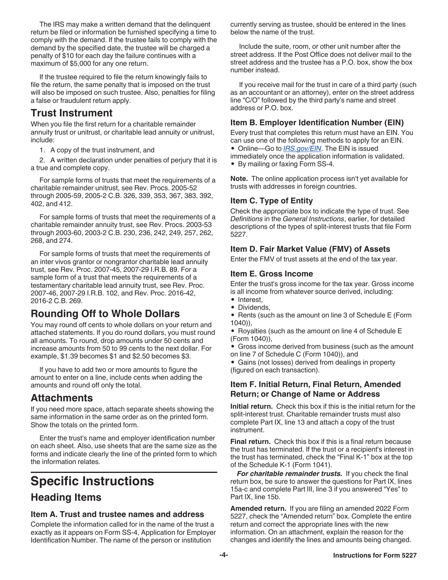<span id="page-3-0"></span>The IRS may make a written demand that the delinquent return be filed or information be furnished specifying a time to comply with the demand. If the trustee fails to comply with the demand by the specified date, the trustee will be charged a penalty of \$10 for each day the failure continues with a maximum of \$5,000 for any one return.

If the trustee required to file the return knowingly fails to file the return, the same penalty that is imposed on the trust will also be imposed on such trustee. Also, penalties for filing a false or fraudulent return apply.

# **Trust Instrument**

When you file the first return for a charitable remainder annuity trust or unitrust, or charitable lead annuity or unitrust, include:

1. A copy of the trust instrument, and

2. A written declaration under penalties of perjury that it is a true and complete copy.

For sample forms of trusts that meet the requirements of a charitable remainder unitrust, see Rev. Procs. 2005-52 through 2005-59, 2005-2 C.B. 326, 339, 353, 367, 383, 392, 402, and 412.

For sample forms of trusts that meet the requirements of a charitable remainder annuity trust, see Rev. Procs. 2003-53 through 2003-60, 2003-2 C.B. 230, 236, 242, 249, 257, 262, 268, and 274.

For sample forms of trusts that meet the requirements of an inter vivos grantor or nongrantor charitable lead annuity trust, see Rev. Proc. 2007-45, 2007-29 I.R.B. 89. For a sample form of a trust that meets the requirements of a testamentary charitable lead annuity trust, see Rev. Proc. 2007-46, 2007-29 I.R.B. 102, and Rev. Proc. 2016-42, 2016-2 C.B. 269.

# **Rounding Off to Whole Dollars**

You may round off cents to whole dollars on your return and attached statements. If you do round dollars, you must round all amounts. To round, drop amounts under 50 cents and increase amounts from 50 to 99 cents to the next dollar. For example, \$1.39 becomes \$1 and \$2.50 becomes \$3.

If you have to add two or more amounts to figure the amount to enter on a line, include cents when adding the amounts and round off only the total.

# **Attachments**

If you need more space, attach separate sheets showing the same information in the same order as on the printed form. Show the totals on the printed form.

Enter the trust's name and employer identification number on each sheet. Also, use sheets that are the same size as the forms and indicate clearly the line of the printed form to which the information relates.

# **Specific Instructions**

# **Heading Items**

### **Item A. Trust and trustee names and address**

Complete the information called for in the name of the trust a exactly as it appears on Form SS-4, Application for Employer Identification Number. The name of the person or institution

currently serving as trustee, should be entered in the lines below the name of the trust.

Include the suite, room, or other unit number after the street address. If the Post Office does not deliver mail to the street address and the trustee has a P.O. box, show the box number instead.

If you receive mail for the trust in care of a third party (such as an accountant or an attorney), enter on the street address line "C/O" followed by the third party's name and street address or P.O. box.

### **Item B. Employer Identification Number (EIN)**

Every trust that completes this return must have an EIN. You can use one of the following methods to apply for an EIN. • Online—Go to *[IRS.gov/EIN](https://www.irs.gov/businesses/small-businesses-self-employed/employer-id-numbers-eins)*. The EIN is issued immediately once the application information is validated.

• By mailing or faxing Form SS-4.

**Note.** The online application process isn't yet available for trusts with addresses in foreign countries.

### **Item C. Type of Entity**

Check the appropriate box to indicate the type of trust. See *Definitions* in the *General Instructions*, earlier, for detailed descriptions of the types of split-interest trusts that file Form 5227.

### **Item D. Fair Market Value (FMV) of Assets**

Enter the FMV of trust assets at the end of the tax year.

### **Item E. Gross Income**

Enter the trust's gross income for the tax year. Gross income is all income from whatever source derived, including:

- Interest,
- Dividends,
- Rents (such as the amount on line 3 of Schedule E (Form 1040)),
- Royalties (such as the amount on line 4 of Schedule E (Form 1040)),
- Gross income derived from business (such as the amount on line 7 of Schedule C (Form 1040)), and

• Gains (not losses) derived from dealings in property (figured on each transaction).

### **Item F. Initial Return, Final Return, Amended Return; or Change of Name or Address**

**Initial return.** Check this box if this is the initial return for the split-interest trust. Charitable remainder trusts must also complete Part IX, line 13 and attach a copy of the trust instrument.

**Final return.** Check this box if this is a final return because the trust has terminated. If the trust or a recipient's interest in the trust has terminated, check the "Final K-1" box at the top of the Schedule K-1 (Form 1041).

*For charitable remainder trusts.* If you check the final return box, be sure to answer the questions for Part IX, lines 15a-c and complete Part III, line 3 if you answered "Yes" to Part IX, line 15b.

**Amended return.** If you are filing an amended 2022 Form 5227, check the "Amended return" box. Complete the entire return and correct the appropriate lines with the new information. On an attachment, explain the reason for the changes and identify the lines and amounts being changed.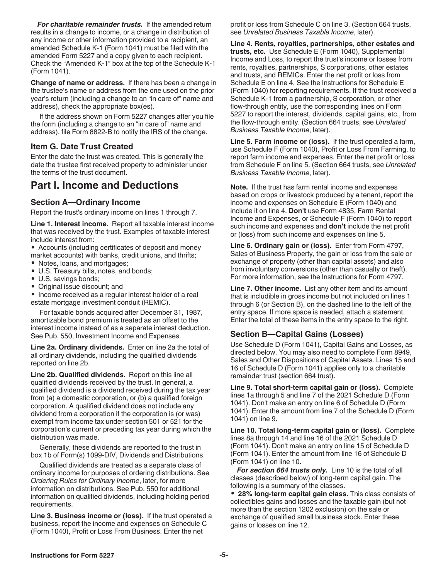*For charitable remainder trusts.* If the amended return results in a change to income, or a change in distribution of any income or other information provided to a recipient, an amended Schedule K-1 (Form 1041) must be filed with the amended Form 5227 and a copy given to each recipient. Check the "Amended K-1" box at the top of the Schedule K-1 (Form 1041).

**Change of name or address.** If there has been a change in the trustee's name or address from the one used on the prior year's return (including a change to an "in care of" name and address), check the appropriate box(es).

If the address shown on Form 5227 changes after you file the form (including a change to an "in care of" name and address), file Form 8822-B to notify the IRS of the change.

### **Item G. Date Trust Created**

Enter the date the trust was created. This is generally the date the trustee first received property to administer under the terms of the trust document.

# **Part I. Income and Deductions**

### **Section A—Ordinary Income**

Report the trust's ordinary income on lines 1 through 7.

**Line 1. Interest income.** Report all taxable interest income that was received by the trust. Examples of taxable interest include interest from:

• Accounts (including certificates of deposit and money market accounts) with banks, credit unions, and thrifts;

- Notes, loans, and mortgages;
- U.S. Treasury bills, notes, and bonds;
- U.S. savings bonds;
- Original issue discount; and

• Income received as a regular interest holder of a real estate mortgage investment conduit (REMIC).

For taxable bonds acquired after December 31, 1987, amortizable bond premium is treated as an offset to the interest income instead of as a separate interest deduction. See Pub. 550, Investment Income and Expenses.

**Line 2a. Ordinary dividends.** Enter on line 2a the total of all ordinary dividends, including the qualified dividends reported on line 2b.

**Line 2b. Qualified dividends.** Report on this line all qualified dividends received by the trust. In general, a qualified dividend is a dividend received during the tax year from (a) a domestic corporation, or (b) a qualified foreign corporation. A qualified dividend does not include any dividend from a corporation if the corporation is (or was) exempt from income tax under section 501 or 521 for the corporation's current or preceding tax year during which the distribution was made.

Generally, these dividends are reported to the trust in box 1b of Form(s) 1099-DIV, Dividends and Distributions.

Qualified dividends are treated as a separate class of ordinary income for purposes of ordering distributions. See *Ordering Rules for Ordinary Income*, later, for more information on distributions. See Pub. 550 for additional information on qualified dividends, including holding period requirements.

**Line 3. Business income or (loss).** If the trust operated a business, report the income and expenses on Schedule C (Form 1040), Profit or Loss From Business. Enter the net

profit or loss from Schedule C on line 3. (Section 664 trusts, see *Unrelated Business Taxable Income*, later).

**Line 4. Rents, royalties, partnerships, other estates and trusts, etc.** Use Schedule E (Form 1040), Supplemental Income and Loss, to report the trust's income or losses from rents, royalties, partnerships, S corporations, other estates and trusts, and REMICs. Enter the net profit or loss from Schedule E on line 4. See the Instructions for Schedule E (Form 1040) for reporting requirements. If the trust received a Schedule K-1 from a partnership, S corporation, or other flow-through entity, use the corresponding lines on Form 5227 to report the interest, dividends, capital gains, etc., from the flow-through entity. (Section 664 trusts, see *Unrelated Business Taxable Income*, later).

**Line 5. Farm income or (loss).** If the trust operated a farm, use Schedule F (Form 1040), Profit or Loss From Farming, to report farm income and expenses. Enter the net profit or loss from Schedule F on line 5. (Section 664 trusts, see *Unrelated Business Taxable Income*, later).

**Note.** If the trust has farm rental income and expenses based on crops or livestock produced by a tenant, report the income and expenses on Schedule E (Form 1040) and include it on line 4. **Don't** use Form 4835, Farm Rental Income and Expenses, or Schedule F (Form 1040) to report such income and expenses and **don't** include the net profit or (loss) from such income and expenses on line 5.

**Line 6. Ordinary gain or (loss).** Enter from Form 4797, Sales of Business Property, the gain or loss from the sale or exchange of property (other than capital assets) and also from involuntary conversions (other than casualty or theft). For more information, see the Instructions for Form 4797.

**Line 7. Other income.** List any other item and its amount that is includible in gross income but not included on lines 1 through 6 (or Section B), on the dashed line to the left of the entry space. If more space is needed, attach a statement. Enter the total of these items in the entry space to the right.

### **Section B—Capital Gains (Losses)**

Use Schedule D (Form 1041), Capital Gains and Losses, as directed below. You may also need to complete Form 8949, Sales and Other Dispositions of Capital Assets. Lines 15 and 16 of Schedule D (Form 1041) applies only to a charitable remainder trust (section 664 trust).

**Line 9. Total short-term capital gain or (loss).** Complete lines 1a through 5 and line 7 of the 2021 Schedule D (Form 1041). Don't make an entry on line 6 of Schedule D (Form 1041). Enter the amount from line 7 of the Schedule D (Form 1041) on line 9.

**Line 10. Total long-term capital gain or (loss).** Complete lines 8a through 14 and line 16 of the 2021 Schedule D (Form 1041). Don't make an entry on line 15 of Schedule D (Form 1041). Enter the amount from line 16 of Schedule D (Form 1041) on line 10.

*For section 664 trusts only.* Line 10 is the total of all classes (described below) of long-term capital gain. The following is a summary of the classes.

• **28% long-term capital gain class.** This class consists of collectibles gains and losses and the taxable gain (but not more than the section 1202 exclusion) on the sale or exchange of qualified small business stock. Enter these gains or losses on line 12.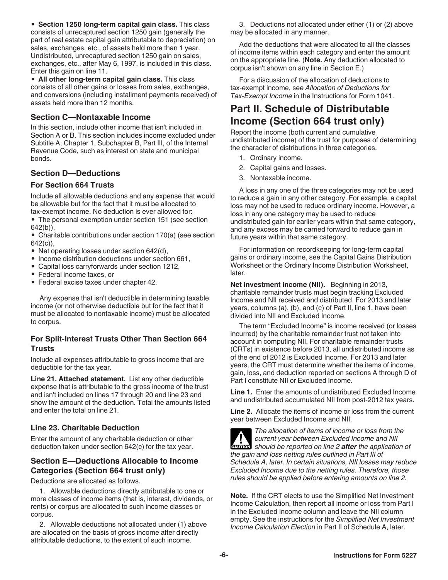<span id="page-5-0"></span>• **Section 1250 long-term capital gain class.** This class consists of unrecaptured section 1250 gain (generally the part of real estate capital gain attributable to depreciation) on sales, exchanges, etc., of assets held more than 1 year. Undistributed, unrecaptured section 1250 gain on sales, exchanges, etc., after May 6, 1997, is included in this class. Enter this gain on line 11.

• **All other long-term capital gain class.** This class consists of all other gains or losses from sales, exchanges, and conversions (including installment payments received) of assets held more than 12 months.

### **Section C—Nontaxable Income**

In this section, include other income that isn't included in Section A or B. This section includes income excluded under Subtitle A, Chapter 1, Subchapter B, Part III, of the Internal Revenue Code, such as interest on state and municipal bonds.

### **Section D—Deductions**

#### **For Section 664 Trusts**

Include all allowable deductions and any expense that would be allowable but for the fact that it must be allocated to tax-exempt income. No deduction is ever allowed for:

• The personal exemption under section 151 (see section 642(b)),

• Charitable contributions under section 170(a) (see section 642(c)),

- Net operating losses under section 642(d),
- Income distribution deductions under section 661,
- Capital loss carryforwards under section 1212,
- Federal income taxes, or
- Federal excise taxes under chapter 42.

Any expense that isn't deductible in determining taxable income (or not otherwise deductible but for the fact that it must be allocated to nontaxable income) must be allocated to corpus.

#### **For Split-Interest Trusts Other Than Section 664 Trusts**

Include all expenses attributable to gross income that are deductible for the tax year.

**Line 21. Attached statement.** List any other deductible expense that is attributable to the gross income of the trust and isn't included on lines 17 through 20 and line 23 and show the amount of the deduction. Total the amounts listed and enter the total on line 21.

#### **Line 23. Charitable Deduction**

Enter the amount of any charitable deduction or other deduction taken under section 642(c) for the tax year.

### **Section E—Deductions Allocable to Income Categories (Section 664 trust only)**

Deductions are allocated as follows.

1. Allowable deductions directly attributable to one or more classes of income items (that is, interest, dividends, or rents) or corpus are allocated to such income classes or corpus.

2. Allowable deductions not allocated under (1) above are allocated on the basis of gross income after directly attributable deductions, to the extent of such income.

3. Deductions not allocated under either (1) or (2) above may be allocated in any manner.

Add the deductions that were allocated to all the classes of income items within each category and enter the amount on the appropriate line. (**Note.** Any deduction allocated to corpus isn't shown on any line in Section E.)

For a discussion of the allocation of deductions to tax-exempt income, see *Allocation of Deductions for Tax-Exempt Income* in the Instructions for Form 1041.

# **Part II. Schedule of Distributable Income (Section 664 trust only)**

Report the income (both current and cumulative undistributed income) of the trust for purposes of determining the character of distributions in three categories.

- 1. Ordinary income.
- 2. Capital gains and losses.
- 3. Nontaxable income.

A loss in any one of the three categories may not be used to reduce a gain in any other category. For example, a capital loss may not be used to reduce ordinary income. However, a loss in any one category may be used to reduce undistributed gain for earlier years within that same category, and any excess may be carried forward to reduce gain in future years within that same category.

For information on recordkeeping for long-term capital gains or ordinary income, see the Capital Gains Distribution Worksheet or the Ordinary Income Distribution Worksheet, later.

**Net investment income (NII).** Beginning in 2013, charitable remainder trusts must begin tracking Excluded Income and NII received and distributed. For 2013 and later years, columns (a), (b), and (c) of Part II, line 1, have been divided into NII and Excluded Income.

The term "Excluded Income" is income received (or losses incurred) by the charitable remainder trust not taken into account in computing NII. For charitable remainder trusts (CRTs) in existence before 2013, all undistributed income as of the end of 2012 is Excluded Income. For 2013 and later years, the CRT must determine whether the items of income, gain, loss, and deduction reported on sections A through D of Part I constitute NII or Excluded Income.

**Line 1.** Enter the amounts of undistributed Excluded Income and undistributed accumulated NII from post-2012 tax years.

**Line 2.** Allocate the items of income or loss from the current year between Excluded Income and NII.



*The allocation of items of income or loss from the current year between Excluded Income and NII*  **z** current year between Excluded Income and NII<br> **CAUTION** Should be reported on line 2 **after** the application of *the gain and loss netting rules outlined in Part III of Schedule A, later. In certain situations, NII losses may reduce Excluded Income due to the netting rules. Therefore, those rules should be applied before entering amounts on line 2.*

**Note.** If the CRT elects to use the Simplified Net Investment Income Calculation, then report all income or loss from Part I in the Excluded Income column and leave the NII column empty. See the instructions for the *Simplified Net Investment Income Calculation Election* in Part II of Schedule A, later.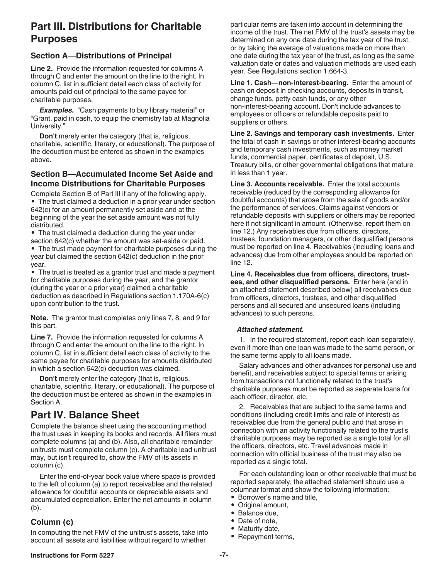# **Part III. Distributions for Charitable Purposes**

### **Section A—Distributions of Principal**

**Line 2.** Provide the information requested for columns A through C and enter the amount on the line to the right. In column C, list in sufficient detail each class of activity for amounts paid out of principal to the same payee for charitable purposes.

**Examples.** "Cash payments to buy library material" or "Grant, paid in cash, to equip the chemistry lab at Magnolia University."

**Don't** merely enter the category (that is, religious, charitable, scientific, literary, or educational). The purpose of the deduction must be entered as shown in the examples above.

### **Section B—Accumulated Income Set Aside and Income Distributions for Charitable Purposes**

Complete Section B of Part III if any of the following apply. • The trust claimed a deduction in a prior year under section 642(c) for an amount permanently set aside and at the beginning of the year the set aside amount was not fully distributed.

• The trust claimed a deduction during the year under section 642(c) whether the amount was set-aside or paid.

• The trust made payment for charitable purposes during the year but claimed the section 642(c) deduction in the prior year.

• The trust is treated as a grantor trust and made a payment for charitable purposes during the year, and the grantor (during the year or a prior year) claimed a charitable deduction as described in Regulations section 1.170A-6(c) upon contribution to the trust.

**Note.** The grantor trust completes only lines 7, 8, and 9 for this part.

**Line 7.** Provide the information requested for columns A through C and enter the amount on the line to the right. In column C, list in sufficient detail each class of activity to the same payee for charitable purposes for amounts distributed in which a section 642(c) deduction was claimed.

**Don't** merely enter the category (that is, religious, charitable, scientific, literary, or educational). The purpose of the deduction must be entered as shown in the examples in Section A.

# **Part IV. Balance Sheet**

Complete the balance sheet using the accounting method the trust uses in keeping its books and records. All filers must complete columns (a) and (b). Also, all charitable remainder unitrusts must complete column (c). A charitable lead unitrust may, but isn't required to, show the FMV of its assets in column (c).

Enter the end-of-year book value where space is provided to the left of column (a) to report receivables and the related allowance for doubtful accounts or depreciable assets and accumulated depreciation. Enter the net amounts in column (b).

### **Column (c)**

In computing the net FMV of the unitrust's assets, take into account all assets and liabilities without regard to whether

particular items are taken into account in determining the income of the trust. The net FMV of the trust's assets may be determined on any one date during the tax year of the trust, or by taking the average of valuations made on more than one date during the tax year of the trust, as long as the same valuation date or dates and valuation methods are used each year. See Regulations section 1.664-3.

**Line 1. Cash—non-interest-bearing.** Enter the amount of cash on deposit in checking accounts, deposits in transit, change funds, petty cash funds, or any other non-interest-bearing account. Don't include advances to employees or officers or refundable deposits paid to suppliers or others.

**Line 2. Savings and temporary cash investments.** Enter the total of cash in savings or other interest-bearing accounts and temporary cash investments, such as money market funds, commercial paper, certificates of deposit, U.S. Treasury bills, or other governmental obligations that mature in less than 1 year.

**Line 3. Accounts receivable.** Enter the total accounts receivable (reduced by the corresponding allowance for doubtful accounts) that arose from the sale of goods and/or the performance of services. Claims against vendors or refundable deposits with suppliers or others may be reported here if not significant in amount. (Otherwise, report them on line 12.) Any receivables due from officers, directors, trustees, foundation managers, or other disqualified persons must be reported on line 4. Receivables (including loans and advances) due from other employees should be reported on line 12.

**Line 4. Receivables due from officers, directors, trustees, and other disqualified persons.** Enter here (and in an attached statement described below) all receivables due from officers, directors, trustees, and other disqualified persons and all secured and unsecured loans (including advances) to such persons.

#### *Attached statement.*

1. In the required statement, report each loan separately, even if more than one loan was made to the same person, or the same terms apply to all loans made.

Salary advances and other advances for personal use and benefit, and receivables subject to special terms or arising from transactions not functionally related to the trust's charitable purposes must be reported as separate loans for each officer, director, etc.

2. Receivables that are subject to the same terms and conditions (including credit limits and rate of interest) as receivables due from the general public and that arose in connection with an activity functionally related to the trust's charitable purposes may be reported as a single total for all the officers, directors, etc. Travel advances made in connection with official business of the trust may also be reported as a single total.

For each outstanding loan or other receivable that must be reported separately, the attached statement should use a columnar format and show the following information:

- Borrower's name and title,
- Original amount,
- Balance due,
- Date of note,
- Maturity date,
- Repayment terms,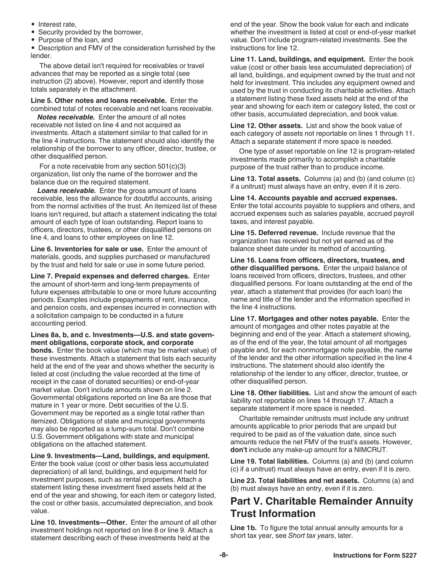- Interest rate,
- Security provided by the borrower,
- Purpose of the loan, and

• Description and FMV of the consideration furnished by the lender.

The above detail isn't required for receivables or travel advances that may be reported as a single total (see instruction (2) above). However, report and identify those totals separately in the attachment.

#### **Line 5. Other notes and loans receivable.** Enter the combined total of notes receivable and net loans receivable.

*Notes receivable.* Enter the amount of all notes receivable not listed on line 4 and not acquired as investments. Attach a statement similar to that called for in the line 4 instructions. The statement should also identify the relationship of the borrower to any officer, director, trustee, or other disqualified person.

For a note receivable from any section 501(c)(3) organization, list only the name of the borrower and the balance due on the required statement.

*Loans receivable.* Enter the gross amount of loans receivable, less the allowance for doubtful accounts, arising from the normal activities of the trust. An itemized list of these loans isn't required, but attach a statement indicating the total amount of each type of loan outstanding. Report loans to officers, directors, trustees, or other disqualified persons on line 4, and loans to other employees on line 12.

**Line 6. Inventories for sale or use.** Enter the amount of materials, goods, and supplies purchased or manufactured by the trust and held for sale or use in some future period.

**Line 7. Prepaid expenses and deferred charges.** Enter the amount of short-term and long-term prepayments of future expenses attributable to one or more future accounting periods. Examples include prepayments of rent, insurance, and pension costs, and expenses incurred in connection with a solicitation campaign to be conducted in a future accounting period.

#### **Lines 8a, b, and c. Investments—U.S. and state government obligations, corporate stock, and corporate**

**bonds.** Enter the book value (which may be market value) of these investments. Attach a statement that lists each security held at the end of the year and shows whether the security is listed at cost (including the value recorded at the time of receipt in the case of donated securities) or end-of-year market value. Don't include amounts shown on line 2. Governmental obligations reported on line 8a are those that mature in 1 year or more. Debt securities of the U.S. Government may be reported as a single total rather than itemized. Obligations of state and municipal governments may also be reported as a lump-sum total. Don't combine U.S. Government obligations with state and municipal obligations on the attached statement.

**Line 9. Investments—Land, buildings, and equipment.** 

Enter the book value (cost or other basis less accumulated depreciation) of all land, buildings, and equipment held for investment purposes, such as rental properties. Attach a statement listing these investment fixed assets held at the end of the year and showing, for each item or category listed, the cost or other basis, accumulated depreciation, and book value.

**Line 10. Investments—Other.** Enter the amount of all other investment holdings not reported on line 8 or line 9. Attach a statement describing each of these investments held at the

end of the year. Show the book value for each and indicate whether the investment is listed at cost or end-of-year market value. Don't include program-related investments. See the instructions for line 12.

**Line 11. Land, buildings, and equipment.** Enter the book value (cost or other basis less accumulated depreciation) of all land, buildings, and equipment owned by the trust and not held for investment. This includes any equipment owned and used by the trust in conducting its charitable activities. Attach a statement listing these fixed assets held at the end of the year and showing for each item or category listed, the cost or other basis, accumulated depreciation, and book value.

**Line 12. Other assets.** List and show the book value of each category of assets not reportable on lines 1 through 11. Attach a separate statement if more space is needed.

One type of asset reportable on line 12 is program-related investments made primarily to accomplish a charitable purpose of the trust rather than to produce income.

**Line 13. Total assets.** Columns (a) and (b) (and column (c) if a unitrust) must always have an entry, even if it is zero.

**Line 14. Accounts payable and accrued expenses.**  Enter the total accounts payable to suppliers and others, and accrued expenses such as salaries payable, accrued payroll taxes, and interest payable.

**Line 15. Deferred revenue.** Include revenue that the organization has received but not yet earned as of the balance sheet date under its method of accounting.

**Line 16. Loans from officers, directors, trustees, and other disqualified persons.** Enter the unpaid balance of loans received from officers, directors, trustees, and other disqualified persons. For loans outstanding at the end of the year, attach a statement that provides (for each loan) the name and title of the lender and the information specified in the line 4 instructions.

**Line 17. Mortgages and other notes payable.** Enter the amount of mortgages and other notes payable at the beginning and end of the year. Attach a statement showing, as of the end of the year, the total amount of all mortgages payable and, for each nonmortgage note payable, the name of the lender and the other information specified in the line 4 instructions. The statement should also identify the relationship of the lender to any officer, director, trustee, or other disqualified person.

**Line 18. Other liabilities.** List and show the amount of each liability not reportable on lines 14 through 17. Attach a separate statement if more space is needed.

Charitable remainder unitrusts must include any unitrust amounts applicable to prior periods that are unpaid but required to be paid as of the valuation date, since such amounts reduce the net FMV of the trust's assets. However, **don't** include any make-up amount for a NIMCRUT.

**Line 19. Total liabilities.** Columns (a) and (b) (and column (c) if a unitrust) must always have an entry, even if it is zero.

**Line 23. Total liabilities and net assets.** Columns (a) and (b) must always have an entry, even if it is zero.

# **Part V. Charitable Remainder Annuity Trust Information**

**Line 1b.** To figure the total annual annuity amounts for a short tax year, see *Short tax years*, later.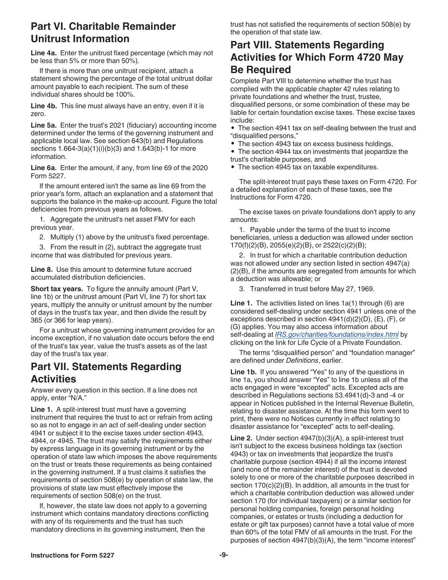# **Part VI. Charitable Remainder Unitrust Information**

**Line 4a.** Enter the unitrust fixed percentage (which may not be less than 5% or more than 50%).

If there is more than one unitrust recipient, attach a statement showing the percentage of the total unitrust dollar amount payable to each recipient. The sum of these individual shares should be 100%.

**Line 4b.** This line must always have an entry, even if it is zero.

**Line 5a.** Enter the trust's 2021 (fiduciary) accounting income determined under the terms of the governing instrument and applicable local law. See section 643(b) and Regulations sections 1.664-3(a)(1)(i)(b)(3) and 1.643(b)-1 for more information.

**Line 6a.** Enter the amount, if any, from line 69 of the 2020 Form 5227.

If the amount entered isn't the same as line 69 from the prior year's form, attach an explanation and a statement that supports the balance in the make-up account. Figure the total deficiencies from previous years as follows.

1. Aggregate the unitrust's net asset FMV for each previous year.

2. Multiply (1) above by the unitrust's fixed percentage.

3. From the result in (2), subtract the aggregate trust income that was distributed for previous years.

**Line 8.** Use this amount to determine future accrued accumulated distribution deficiencies.

**Short tax years.** To figure the annuity amount (Part V, line 1b) or the unitrust amount (Part VI, line 7) for short tax years, multiply the annuity or unitrust amount by the number of days in the trust's tax year, and then divide the result by 365 (or 366 for leap years).

For a unitrust whose governing instrument provides for an income exception, if no valuation date occurs before the end of the trust's tax year, value the trust's assets as of the last day of the trust's tax year.

# **Part VII. Statements Regarding Activities**

Answer every question in this section. If a line does not apply, enter "N/A."

**Line 1.** A split-interest trust must have a governing instrument that requires the trust to act or refrain from acting so as not to engage in an act of self-dealing under section 4941 or subject it to the excise taxes under section 4943, 4944, or 4945. The trust may satisfy the requirements either by express language in its governing instrument or by the operation of state law which imposes the above requirements on the trust or treats these requirements as being contained in the governing instrument. If a trust claims it satisfies the requirements of section 508(e) by operation of state law, the provisions of state law must effectively impose the requirements of section 508(e) on the trust.

If, however, the state law does not apply to a governing instrument which contains mandatory directions conflicting with any of its requirements and the trust has such mandatory directions in its governing instrument, then the

trust has not satisfied the requirements of section 508(e) by the operation of that state law.

# **Part VIII. Statements Regarding Activities for Which Form 4720 May Be Required**

Complete Part VIII to determine whether the trust has complied with the applicable chapter 42 rules relating to private foundations and whether the trust, trustee, disqualified persons, or some combination of these may be liable for certain foundation excise taxes. These excise taxes include:

• The section 4941 tax on self-dealing between the trust and "disqualified persons,"

• The section 4943 tax on excess business holdings,

• The section 4944 tax on investments that jeopardize the trust's charitable purposes, and

• The section 4945 tax on taxable expenditures.

The split-interest trust pays these taxes on Form 4720. For a detailed explanation of each of these taxes, see the Instructions for Form 4720.

The excise taxes on private foundations don't apply to any amounts:

1. Payable under the terms of the trust to income beneficiaries, unless a deduction was allowed under section 170(f)(2)(B), 2055(e)(2)(B), or 2522(c)(2)(B);

2. In trust for which a charitable contribution deduction was not allowed under any section listed in section 4947(a) (2)(B), if the amounts are segregated from amounts for which a deduction was allowable; or

3. Transferred in trust before May 27, 1969.

**Line 1.** The activities listed on lines 1a(1) through (6) are considered self-dealing under section 4941 unless one of the exceptions described in section 4941(d)(2)(D), (E), (F), or (G) applies. You may also access information about self-dealing at *[IRS.gov/charities/foundations/index.html](https://www.irs.gov/charities-non-profits/private-foundations)* by clicking on the link for Life Cycle of a Private Foundation.

The terms "disqualified person" and "foundation manager" are defined under *Definitions*, earlier.

**Line 1b.** If you answered "Yes" to any of the questions in line 1a, you should answer "Yes" to line 1b unless all of the acts engaged in were "excepted" acts. Excepted acts are described in Regulations sections 53.4941(d)-3 and -4 or appear in Notices published in the Internal Revenue Bulletin, relating to disaster assistance. At the time this form went to print, there were no Notices currently in effect relating to disaster assistance for "excepted" acts to self-dealing.

**Line 2.** Under section 4947(b)(3)(A), a split-interest trust isn't subject to the excess business holdings tax (section 4943) or tax on investments that jeopardize the trust's charitable purpose (section 4944) if all the income interest (and none of the remainder interest) of the trust is devoted solely to one or more of the charitable purposes described in section 170(c)(2)(B). In addition, all amounts in the trust for which a charitable contribution deduction was allowed under section 170 (for individual taxpayers) or a similar section for personal holding companies, foreign personal holding companies, or estates or trusts (including a deduction for estate or gift tax purposes) cannot have a total value of more than 60% of the total FMV of all amounts in the trust. For the purposes of section 4947(b)(3)(A), the term "income interest"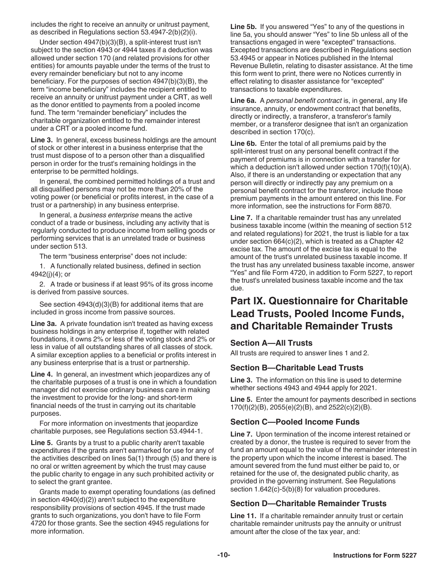includes the right to receive an annuity or unitrust payment, as described in Regulations section 53.4947-2(b)(2)(i).

Under section 4947(b)(3)(B), a split-interest trust isn't subject to the section 4943 or 4944 taxes if a deduction was allowed under section 170 (and related provisions for other entities) for amounts payable under the terms of the trust to every remainder beneficiary but not to any income beneficiary. For the purposes of section 4947(b)(3)(B), the term "income beneficiary" includes the recipient entitled to receive an annuity or unitrust payment under a CRT, as well as the donor entitled to payments from a pooled income fund. The term "remainder beneficiary" includes the charitable organization entitled to the remainder interest under a CRT or a pooled income fund.

**Line 3.** In general, excess business holdings are the amount of stock or other interest in a business enterprise that the trust must dispose of to a person other than a disqualified person in order for the trust's remaining holdings in the enterprise to be permitted holdings.

In general, the combined permitted holdings of a trust and all disqualified persons may not be more than 20% of the voting power (or beneficial or profits interest, in the case of a trust or a partnership) in any business enterprise.

In general, a *business enterprise* means the active conduct of a trade or business, including any activity that is regularly conducted to produce income from selling goods or performing services that is an unrelated trade or business under section 513.

The term "business enterprise" does not include:

1. A functionally related business, defined in section 4942(j)(4); or

2. A trade or business if at least 95% of its gross income is derived from passive sources.

See section 4943(d)(3)(B) for additional items that are included in gross income from passive sources.

**Line 3a.** A private foundation isn't treated as having excess business holdings in any enterprise if, together with related foundations, it owns 2% or less of the voting stock and 2% or less in value of all outstanding shares of all classes of stock. A similar exception applies to a beneficial or profits interest in any business enterprise that is a trust or partnership.

**Line 4.** In general, an investment which jeopardizes any of the charitable purposes of a trust is one in which a foundation manager did not exercise ordinary business care in making the investment to provide for the long- and short-term financial needs of the trust in carrying out its charitable purposes.

For more information on investments that jeopardize charitable purposes, see Regulations section 53.4944-1.

**Line 5.** Grants by a trust to a public charity aren't taxable expenditures if the grants aren't earmarked for use for any of the activities described on lines 5a(1) through (5) and there is no oral or written agreement by which the trust may cause the public charity to engage in any such prohibited activity or to select the grant grantee.

Grants made to exempt operating foundations (as defined in section 4940(d)(2)) aren't subject to the expenditure responsibility provisions of section 4945. If the trust made grants to such organizations, you don't have to file Form 4720 for those grants. See the section 4945 regulations for more information.

**Line 5b.** If you answered "Yes" to any of the questions in line 5a, you should answer "Yes" to line 5b unless all of the transactions engaged in were "excepted" transactions. Excepted transactions are described in Regulations section 53.4945 or appear in Notices published in the Internal Revenue Bulletin, relating to disaster assistance. At the time this form went to print, there were no Notices currently in effect relating to disaster assistance for "excepted" transactions to taxable expenditures.

**Line 6a.** A *personal benefit contract* is, in general, any life insurance, annuity, or endowment contract that benefits, directly or indirectly, a transferor, a transferor's family member, or a transferor designee that isn't an organization described in section 170(c).

**Line 6b.** Enter the total of all premiums paid by the split-interest trust on any personal benefit contract if the payment of premiums is in connection with a transfer for which a deduction isn't allowed under section 170(f)(10)(A). Also, if there is an understanding or expectation that any person will directly or indirectly pay any premium on a personal benefit contract for the transferor, include those premium payments in the amount entered on this line. For more information, see the instructions for Form 8870.

**Line 7.** If a charitable remainder trust has any unrelated business taxable income (within the meaning of section 512 and related regulations) for 2021, the trust is liable for a tax under section 664(c)(2), which is treated as a Chapter 42 excise tax. The amount of the excise tax is equal to the amount of the trust's unrelated business taxable income. If the trust has any unrelated business taxable income, answer "Yes" and file Form 4720, in addition to Form 5227, to report the trust's unrelated business taxable income and the tax due.

# **Part IX. Questionnaire for Charitable Lead Trusts, Pooled Income Funds, and Charitable Remainder Trusts**

### **Section A—All Trusts**

All trusts are required to answer lines 1 and 2.

### **Section B—Charitable Lead Trusts**

**Line 3.** The information on this line is used to determine whether sections 4943 and 4944 apply for 2021.

**Line 5.** Enter the amount for payments described in sections 170(f)(2)(B), 2055(e)(2)(B), and 2522(c)(2)(B).

### **Section C—Pooled Income Funds**

**Line 7.** Upon termination of the income interest retained or created by a donor, the trustee is required to sever from the fund an amount equal to the value of the remainder interest in the property upon which the income interest is based. The amount severed from the fund must either be paid to, or retained for the use of, the designated public charity, as provided in the governing instrument. See Regulations section 1.642(c)-5(b)(8) for valuation procedures.

### **Section D—Charitable Remainder Trusts**

**Line 11.** If a charitable remainder annuity trust or certain charitable remainder unitrusts pay the annuity or unitrust amount after the close of the tax year, and: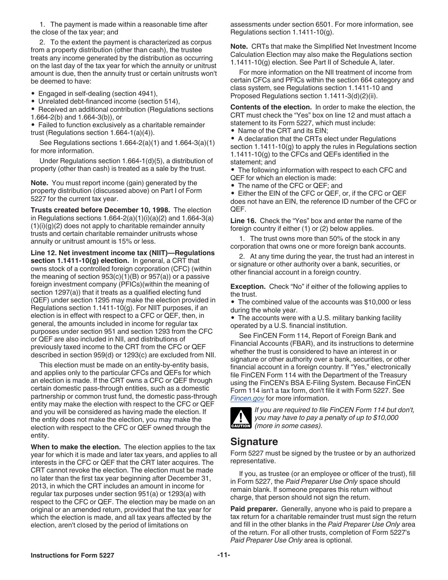<span id="page-10-0"></span>1. The payment is made within a reasonable time after the close of the tax year; and

2. To the extent the payment is characterized as corpus from a property distribution (other than cash), the trustee treats any income generated by the distribution as occurring on the last day of the tax year for which the annuity or unitrust amount is due, then the annuity trust or certain unitrusts won't be deemed to have:

• Engaged in self-dealing (section 4941),

• Unrelated debt-financed income (section 514),

• Received an additional contribution (Regulations sections 1.664-2(b) and 1.664-3(b)), or

• Failed to function exclusively as a charitable remainder trust (Regulations section 1.664-1(a)(4)).

See Regulations sections 1.664-2(a)(1) and 1.664-3(a)(1) for more information.

Under Regulations section 1.664-1(d)(5), a distribution of property (other than cash) is treated as a sale by the trust.

**Note.** You must report income (gain) generated by the property distribution (discussed above) on Part I of Form 5227 for the current tax year.

**Trusts created before December 10, 1998.** The election in Regulations sections  $1.664 - 2(a)(1)(i)(a)(2)$  and  $1.664 - 3(a)$  $(1)(i)(g)(2)$  does not apply to charitable remainder annuity trusts and certain charitable remainder unitrusts whose annuity or unitrust amount is 15% or less.

**Line 12. Net investment income tax (NIIT)—Regulations section 1.1411-10(g) election.** In general, a CRT that owns stock of a controlled foreign corporation (CFC) (within the meaning of section  $953(c)(1)(B)$  or  $957(a)$ ) or a passive foreign investment company (PFICs)(within the meaning of section 1297(a)) that it treats as a qualified electing fund (QEF) under section 1295 may make the election provided in Regulations section 1.1411-10(g). For NIIT purposes, if an election is in effect with respect to a CFC or QEF, then, in general, the amounts included in income for regular tax purposes under section 951 and section 1293 from the CFC or QEF are also included in NII, and distributions of previously taxed income to the CRT from the CFC or QEF described in section 959(d) or 1293(c) are excluded from NII.

This election must be made on an entity-by-entity basis, and applies only to the particular CFCs and QEFs for which an election is made. If the CRT owns a CFC or QEF through certain domestic pass-through entities, such as a domestic partnership or common trust fund, the domestic pass-through entity may make the election with respect to the CFC or QEF and you will be considered as having made the election. If the entity does not make the election, you may make the election with respect to the CFC or QEF owned through the entity.

**When to make the election.** The election applies to the tax year for which it is made and later tax years, and applies to all interests in the CFC or QEF that the CRT later acquires. The CRT cannot revoke the election. The election must be made no later than the first tax year beginning after December 31, 2013, in which the CRT includes an amount in income for regular tax purposes under section 951(a) or 1293(a) with respect to the CFC or QEF. The election may be made on an original or an amended return, provided that the tax year for which the election is made, and all tax years affected by the election, aren't closed by the period of limitations on

assessments under section 6501. For more information, see Regulations section 1.1411-10(g).

**Note.** CRTs that make the Simplified Net Investment Income Calculation Election may also make the Regulations section 1.1411-10(g) election. See Part II of Schedule A, later.

For more information on the NII treatment of income from certain CFCs and PFICs within the section 664 category and class system, see Regulations section 1.1411-10 and Proposed Regulations section 1.1411-3(d)(2)(ii).

**Contents of the election.** In order to make the election, the CRT must check the "Yes" box on line 12 and must attach a statement to its Form 5227, which must include:

• Name of the CRT and its EIN;

• A declaration that the CRTs elect under Regulations section 1.1411-10(g) to apply the rules in Regulations section 1.1411-10(g) to the CFCs and QEFs identified in the statement; and

• The following information with respect to each CFC and QEF for which an election is made:

• The name of the CFC or QEF; and

• Either the EIN of the CFC or QEF, or, if the CFC or QEF does not have an EIN, the reference ID number of the CFC or QEF.

**Line 16.** Check the "Yes" box and enter the name of the foreign country if either (1) or (2) below applies.

1. The trust owns more than 50% of the stock in any corporation that owns one or more foreign bank accounts.

2. At any time during the year, the trust had an interest in or signature or other authority over a bank, securities, or other financial account in a foreign country.

**Exception.** Check "No" if either of the following applies to the trust.

• The combined value of the accounts was \$10,000 or less during the whole year.

• The accounts were with a U.S. military banking facility operated by a U.S. financial institution.

See FinCEN Form 114, Report of Foreign Bank and Financial Accounts (FBAR), and its instructions to determine whether the trust is considered to have an interest in or signature or other authority over a bank, securities, or other financial account in a foreign country. If "Yes," electronically file FinCEN Form 114 with the Department of the Treasury using the FinCEN's BSA E-Filing System. Because FinCEN Form 114 isn't a tax form, don't file it with Form 5227. See *[Fincen.gov](https://www.fincen.gov)* for more information.

*If you are required to file FinCEN Form 114 but don't, you may have to pay a penalty of up to \$10,000*  you may have to pay a<br>
(more in some cases).

# **Signature**

Form 5227 must be signed by the trustee or by an authorized representative.

If you, as trustee (or an employee or officer of the trust), fill in Form 5227, the *Paid Preparer Use Only* space should remain blank. If someone prepares this return without charge, that person should not sign the return.

**Paid preparer.** Generally, anyone who is paid to prepare a tax return for a charitable remainder trust must sign the return and fill in the other blanks in the *Paid Preparer Use Only* area of the return. For all other trusts, completion of Form 5227's *Paid Preparer Use Only* area is optional.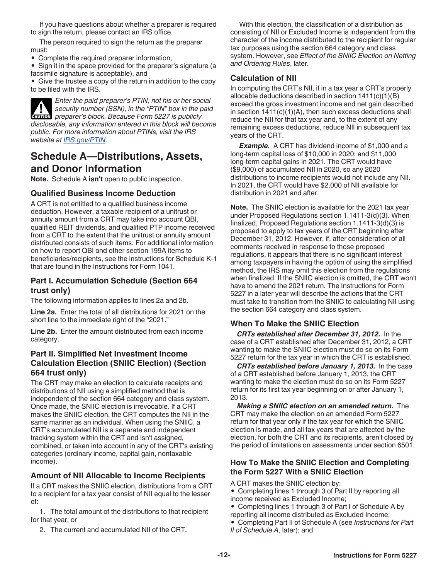<span id="page-11-0"></span>If you have questions about whether a preparer is required to sign the return, please contact an IRS office.

The person required to sign the return as the preparer must:

• Complete the required preparer information,

• Sign it in the space provided for the preparer's signature (a facsimile signature is acceptable), and

• Give the trustee a copy of the return in addition to the copy to be filed with the IRS.

*Enter the paid preparer's PTIN, not his or her social security number (SSN), in the "PTIN" box in the paid preparer's block. Because Form 5227 is publicly disclosable, any information entered in this block will become public. For more information about PTINs, visit the IRS website at [IRS.gov/PTIN](https://www.irs.gov/Tax-Professionals/PTIN-Requirements-for-Tax-Return-Preparers).* **CAUTION !**

### **Schedule A—Distributions, Assets, and Donor Information**

**Note.** Schedule A **isn't** open to public inspection.

#### **Qualified Business Income Deduction**

A CRT is not entitled to a qualified business income deduction. However, a taxable recipient of a unitrust or annuity amount from a CRT may take into account QBI, qualified REIT dividends, and qualified PTP income received from a CRT to the extent that the unitrust or annuity amount distributed consists of such items. For additional information on how to report QBI and other section 199A items to beneficiaries/recipients, see the instructions for Schedule K-1 that are found in the Instructions for Form 1041.

#### **Part I. Accumulation Schedule (Section 664 trust only)**

The following information applies to lines 2a and 2b.

**Line 2a.** Enter the total of all distributions for 2021 on the short line to the immediate right of the "2021."

**Line 2b.** Enter the amount distributed from each income category.

### **Part II. Simplified Net Investment Income Calculation Election (SNIIC Election) (Section 664 trust only)**

The CRT may make an election to calculate receipts and distributions of NII using a simplified method that is independent of the section 664 category and class system. Once made, the SNIIC election is irrevocable. If a CRT makes the SNIIC election, the CRT computes the NII in the same manner as an individual. When using the SNIIC, a CRT's accumulated NII is a separate and independent tracking system within the CRT and isn't assigned, combined, or taken into account in any of the CRT's existing categories (ordinary income, capital gain, nontaxable income).

### **Amount of NII Allocable to Income Recipients**

If a CRT makes the SNIIC election, distributions from a CRT to a recipient for a tax year consist of NII equal to the lesser of:

1. The total amount of the distributions to that recipient for that year, or

2. The current and accumulated NII of the CRT.

With this election, the classification of a distribution as consisting of NII or Excluded Income is independent from the character of the income distributed to the recipient for regular tax purposes using the section 664 category and class system. However, see *Effect of the SNIIC Election on Netting and Ordering Rules*, later.

### **Calculation of NII**

In computing the CRT's NII, if in a tax year a CRT's properly allocable deductions described in section 1411(c)(1)(B) exceed the gross investment income and net gain described in section  $1411(c)(1)(A)$ , then such excess deductions shall reduce the NII for that tax year and, to the extent of any remaining excess deductions, reduce NII in subsequent tax years of the CRT.

**Example.** A CRT has dividend income of \$1,000 and a long-term capital loss of \$10,000 in 2020; and \$11,000 long-term capital gains in 2021. The CRT would have (\$9,000) of accumulated NII in 2020, so any 2020 distributions to income recipients would not include any NII. In 2021, the CRT would have \$2,000 of NII available for distribution in 2021 and after.

**Note.** The SNIIC election is available for the 2021 tax year under Proposed Regulations section 1.1411-3(d)(3). When finalized, Proposed Regulations section 1.1411-3(d)(3) is proposed to apply to tax years of the CRT beginning after December 31, 2012. However, if, after consideration of all comments received in response to those proposed regulations, it appears that there is no significant interest among taxpayers in having the option of using the simplified method, the IRS may omit this election from the regulations when finalized. If the SNIIC election is omitted, the CRT won't have to amend the 2021 return. The Instructions for Form 5227 in a later year will describe the actions that the CRT must take to transition from the SNIIC to calculating NII using the section 664 category and class system.

### **When To Make the SNIIC Election**

*CRTs established after December 31, 2012.* In the case of a CRT established after December 31, 2012, a CRT wanting to make the SNIIC election must do so on its Form 5227 return for the tax year in which the CRT is established.

*CRTs established before January 1, 2013.* In the case of a CRT established before January 1, 2013, the CRT wanting to make the election must do so on its Form 5227 return for its first tax year beginning on or after January 1, 2013.

*Making a SNIIC election on an amended return.* The CRT may make the election on an amended Form 5227 return for that year only if the tax year for which the SNIIC election is made, and all tax years that are affected by the election, for both the CRT and its recipients, aren't closed by the period of limitations on assessments under section 6501.

#### **How To Make the SNIIC Election and Completing the Form 5227 With a SNIIC Election**

- A CRT makes the SNIIC election by:
- Completing lines 1 through 3 of Part II by reporting all income received as Excluded Income;
- Completing lines 1 through 3 of Part I of Schedule A by reporting all income distributed as Excluded Income;
- Completing Part II of Schedule A (see *Instructions for Part*
- *II of Schedule A*, later); and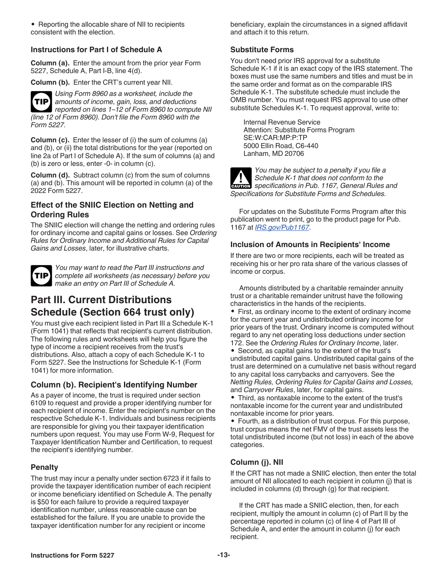• Reporting the allocable share of NII to recipients consistent with the election.

#### **Instructions for Part I of Schedule A**

**Column (a).** Enter the amount from the prior year Form 5227, Schedule A, Part I-B, line 4(d).

**Column (b).** Enter the CRT's current year NII.

*Using Form 8960 as a worksheet, include the amounts of income, gain, loss, and deductions reported on lines 1–12 of Form 8960 to compute NII (line 12 of Form 8960). Don't file the Form 8960 with the Form 5227.* **TIP**

**Column (c).** Enter the lesser of (i) the sum of columns (a) and (b), or (ii) the total distributions for the year (reported on line 2a of Part I of Schedule A). If the sum of columns (a) and (b) is zero or less, enter -0- in column (c).

**Column (d).** Subtract column (c) from the sum of columns (a) and (b). This amount will be reported in column (a) of the 2022 Form 5227.

### **Effect of the SNIIC Election on Netting and Ordering Rules**

The SNIIC election will change the netting and ordering rules for ordinary income and capital gains or losses. See *Ordering Rules for Ordinary Income and Additional Rules for Capital Gains and Losses*, later, for illustrative charts.



*You may want to read the Part III instructions and complete all worksheets (as necessary) before you*  **TIP** *make an entry on Part III of Schedule A.*

# **Part III. Current Distributions Schedule (Section 664 trust only)**

You must give each recipient listed in Part III a Schedule K-1 (Form 1041) that reflects that recipient's current distribution. The following rules and worksheets will help you figure the type of income a recipient receives from the trust's distributions. Also, attach a copy of each Schedule K-1 to Form 5227. See the Instructions for Schedule K-1 (Form 1041) for more information.

### **Column (b). Recipient's Identifying Number**

As a payer of income, the trust is required under section 6109 to request and provide a proper identifying number for each recipient of income. Enter the recipient's number on the respective Schedule K-1. Individuals and business recipients are responsible for giving you their taxpayer identification numbers upon request. You may use Form W-9, Request for Taxpayer Identification Number and Certification, to request the recipient's identifying number.

#### **Penalty**

The trust may incur a penalty under section 6723 if it fails to provide the taxpayer identification number of each recipient or income beneficiary identified on Schedule A. The penalty is \$50 for each failure to provide a required taxpayer identification number, unless reasonable cause can be established for the failure. If you are unable to provide the taxpayer identification number for any recipient or income

beneficiary, explain the circumstances in a signed affidavit and attach it to this return.

#### **Substitute Forms**

You don't need prior IRS approval for a substitute Schedule K-1 if it is an exact copy of the IRS statement. The boxes must use the same numbers and titles and must be in the same order and format as on the comparable IRS Schedule K-1. The substitute schedule must include the OMB number. You must request IRS approval to use other substitute Schedules K-1. To request approval, write to:

Internal Revenue Service Attention: Substitute Forms Program SE:W:CAR:MP:P:TP 5000 Ellin Road, C6-440 Lanham, MD 20706



*You may be subject to a penalty if you file a Schedule K-1 that does not conform to the*  **Schedule K-1 that does not conform to the specifications in Pub. 1167, General Rules and** *Specifications for Substitute Forms and Schedules.*

For updates on the Substitute Forms Program after this publication went to print, go to the product page for Pub. 1167 at *[IRS.gov/Pub1167](https://www.irs.gov/pub1167)*.

### **Inclusion of Amounts in Recipients' Income**

If there are two or more recipients, each will be treated as receiving his or her pro rata share of the various classes of income or corpus.

Amounts distributed by a charitable remainder annuity trust or a charitable remainder unitrust have the following characteristics in the hands of the recipients.

• First, as ordinary income to the extent of ordinary income for the current year and undistributed ordinary income for prior years of the trust. Ordinary income is computed without regard to any net operating loss deductions under section 172. See the *Ordering Rules for Ordinary Income*, later.

• Second, as capital gains to the extent of the trust's undistributed capital gains. Undistributed capital gains of the trust are determined on a cumulative net basis without regard to any capital loss carrybacks and carryovers. See the *Netting Rules, Ordering Rules for Capital Gains and Losses,*  and *Carryover Rules*, later, for capital gains.

• Third, as nontaxable income to the extent of the trust's nontaxable income for the current year and undistributed nontaxable income for prior years.

• Fourth, as a distribution of trust corpus. For this purpose, trust corpus means the net FMV of the trust assets less the total undistributed income (but not loss) in each of the above categories.

### **Column (j). NII**

If the CRT has not made a SNIIC election, then enter the total amount of NII allocated to each recipient in column (j) that is included in columns (d) through (g) for that recipient.

If the CRT has made a SNIIC election, then, for each recipient, multiply the amount in column (c) of Part II by the percentage reported in column (c) of line 4 of Part III of Schedule A, and enter the amount in column (j) for each recipient.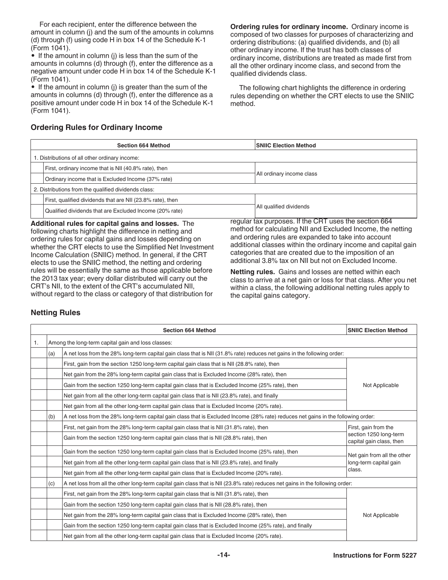<span id="page-13-0"></span>For each recipient, enter the difference between the amount in column (j) and the sum of the amounts in columns (d) through (f) using code H in box 14 of the Schedule K-1 (Form 1041).

• If the amount in column (j) is less than the sum of the amounts in columns (d) through (f), enter the difference as a negative amount under code H in box 14 of the Schedule K-1 (Form 1041).

• If the amount in column (j) is greater than the sum of the amounts in columns (d) through (f), enter the difference as a positive amount under code H in box 14 of the Schedule K-1 (Form 1041).

**Ordering rules for ordinary income.** Ordinary income is composed of two classes for purposes of characterizing and ordering distributions: (a) qualified dividends, and (b) all other ordinary income. If the trust has both classes of ordinary income, distributions are treated as made first from all the other ordinary income class, and second from the qualified dividends class.

The following chart highlights the difference in ordering rules depending on whether the CRT elects to use the SNIIC method.

|                                                      | <b>Section 664 Method</b>                                  | <b>SNIIC Election Method</b> |  |  |
|------------------------------------------------------|------------------------------------------------------------|------------------------------|--|--|
| 1. Distributions of all other ordinary income:       |                                                            |                              |  |  |
|                                                      | First, ordinary income that is NII (40.8% rate), then      |                              |  |  |
|                                                      | Ordinary income that is Excluded Income (37% rate)         | All ordinary income class    |  |  |
| 2. Distributions from the qualified dividends class: |                                                            |                              |  |  |
|                                                      | First, qualified dividends that are NII (23.8% rate), then |                              |  |  |
|                                                      | Qualified dividends that are Excluded Income (20% rate)    | All qualified dividends      |  |  |

### **Ordering Rules for Ordinary Income**

**Additional rules for capital gains and losses.** The following charts highlight the difference in netting and ordering rules for capital gains and losses depending on whether the CRT elects to use the Simplified Net Investment Income Calculation (SNIIC) method. In general, if the CRT elects to use the SNIIC method, the netting and ordering rules will be essentially the same as those applicable before the 2013 tax year; every dollar distributed will carry out the CRT's NII, to the extent of the CRT's accumulated NII, without regard to the class or category of that distribution for

regular tax purposes. If the CRT uses the section 664 method for calculating NII and Excluded Income, the netting and ordering rules are expanded to take into account additional classes within the ordinary income and capital gain categories that are created due to the imposition of an additional 3.8% tax on NII but not on Excluded Income.

**Netting rules.** Gains and losses are netted within each class to arrive at a net gain or loss for that class. After you net within a class, the following additional netting rules apply to the capital gains category.

#### **Netting Rules**

|    | <b>SNIIC Election Method</b> |                                                                                                                                   |                                                       |  |  |
|----|------------------------------|-----------------------------------------------------------------------------------------------------------------------------------|-------------------------------------------------------|--|--|
| 1. |                              | Among the long-term capital gain and loss classes:                                                                                |                                                       |  |  |
|    | (a)                          | A net loss from the 28% long-term capital gain class that is NII (31.8% rate) reduces net gains in the following order:           |                                                       |  |  |
|    |                              | First, gain from the section 1250 long-term capital gain class that is NII (28.8% rate), then                                     | Not Applicable                                        |  |  |
|    |                              | Net gain from the 28% long-term capital gain class that is Excluded Income (28% rate), then                                       |                                                       |  |  |
|    |                              | Gain from the section 1250 long-term capital gain class that is Excluded Income (25% rate), then                                  |                                                       |  |  |
|    |                              | Net gain from all the other long-term capital gain class that is NII (23.8% rate), and finally                                    |                                                       |  |  |
|    |                              | Net gain from all the other long-term capital gain class that is Excluded Income (20% rate).                                      |                                                       |  |  |
|    | (b)                          | A net loss from the 28% long-term capital gain class that is Excluded Income (28% rate) reduces net gains in the following order: |                                                       |  |  |
|    |                              | First, net gain from the 28% long-term capital gain class that is NII (31.8% rate), then                                          | First, gain from the                                  |  |  |
|    |                              | Gain from the section 1250 long-term capital gain class that is NII (28.8% rate), then                                            | section 1250 long-term<br>capital gain class, then    |  |  |
|    |                              | Gain from the section 1250 long-term capital gain class that is Excluded Income (25% rate), then                                  | Net gain from all the other<br>long-term capital gain |  |  |
|    |                              | Net gain from all the other long-term capital gain class that is NII (23.8% rate), and finally                                    |                                                       |  |  |
|    |                              | Net gain from all the other long-term capital gain class that is Excluded Income (20% rate).                                      | class.                                                |  |  |
|    | (c)                          | A net loss from all the other long-term capital gain class that is NII (23.8% rate) reduces net gains in the following order:     |                                                       |  |  |
|    |                              | First, net gain from the 28% long-term capital gain class that is NII (31.8% rate), then                                          |                                                       |  |  |
|    |                              | Gain from the section 1250 long-term capital gain class that is NII (28.8% rate), then                                            |                                                       |  |  |
|    |                              | Net gain from the 28% long-term capital gain class that is Excluded Income (28% rate), then<br>Not Applicable                     |                                                       |  |  |
|    |                              | Gain from the section 1250 long-term capital gain class that is Excluded Income (25% rate), and finally                           |                                                       |  |  |
|    |                              | Net gain from all the other long-term capital gain class that is Excluded Income (20% rate).                                      |                                                       |  |  |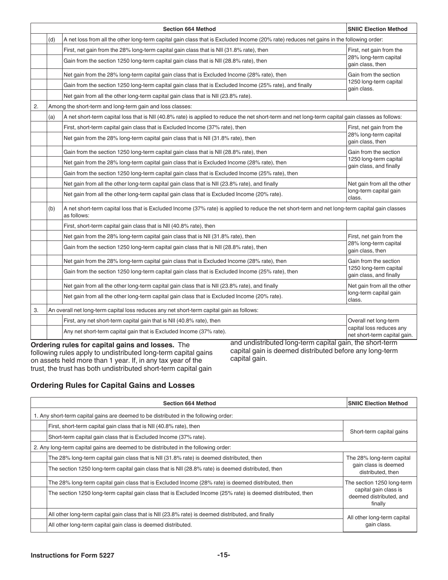<span id="page-14-0"></span>

|    |                                                           | <b>Section 664 Method</b>                                                                                                                                      | <b>SNIIC Election Method</b>                             |  |  |
|----|-----------------------------------------------------------|----------------------------------------------------------------------------------------------------------------------------------------------------------------|----------------------------------------------------------|--|--|
|    | (d)                                                       | A net loss from all the other long-term capital gain class that is Excluded Income (20% rate) reduces net gains in the following order:                        |                                                          |  |  |
|    |                                                           | First, net gain from the 28% long-term capital gain class that is NII (31.8% rate), then                                                                       | First, net gain from the                                 |  |  |
|    |                                                           | Gain from the section 1250 long-term capital gain class that is NII (28.8% rate), then                                                                         | 28% long-term capital<br>gain class, then                |  |  |
|    |                                                           | Net gain from the 28% long-term capital gain class that is Excluded Income (28% rate), then                                                                    | Gain from the section                                    |  |  |
|    |                                                           | Gain from the section 1250 long-term capital gain class that is Excluded Income (25% rate), and finally                                                        | 1250 long-term capital<br>gain class.                    |  |  |
|    |                                                           | Net gain from all the other long-term capital gain class that is NII (23.8% rate).                                                                             |                                                          |  |  |
| 2. | Among the short-term and long-term gain and loss classes: |                                                                                                                                                                |                                                          |  |  |
|    | (a)                                                       | A net short-term capital loss that is NII (40.8% rate) is applied to reduce the net short-term and net long-term capital gain classes as follows:              |                                                          |  |  |
|    |                                                           | First, short-term capital gain class that is Excluded Income (37% rate), then                                                                                  | First, net gain from the                                 |  |  |
|    |                                                           | Net gain from the 28% long-term capital gain class that is NII (31.8% rate), then                                                                              | 28% long-term capital<br>gain class, then                |  |  |
|    |                                                           | Gain from the section 1250 long-term capital gain class that is NII (28.8% rate), then                                                                         | Gain from the section                                    |  |  |
|    |                                                           | Net gain from the 28% long-term capital gain class that is Excluded Income (28% rate), then                                                                    | 1250 long-term capital<br>gain class, and finally        |  |  |
|    |                                                           | Gain from the section 1250 long-term capital gain class that is Excluded Income (25% rate), then                                                               |                                                          |  |  |
|    |                                                           | Net gain from all the other long-term capital gain class that is NII (23.8% rate), and finally                                                                 | Net gain from all the other                              |  |  |
|    |                                                           | Net gain from all the other long-term capital gain class that is Excluded Income (20% rate).                                                                   | long-term capital gain<br>class.                         |  |  |
|    | (b)                                                       | A net short-term capital loss that is Excluded Income (37% rate) is applied to reduce the net short-term and net long-term capital gain classes<br>as follows: |                                                          |  |  |
|    |                                                           | First, short-term capital gain class that is NII (40.8% rate), then                                                                                            |                                                          |  |  |
|    |                                                           | Net gain from the 28% long-term capital gain class that is NII (31.8% rate), then                                                                              | First, net gain from the                                 |  |  |
|    |                                                           | Gain from the section 1250 long-term capital gain class that is NII (28.8% rate), then                                                                         | 28% long-term capital<br>gain class, then                |  |  |
|    |                                                           | Net gain from the 28% long-term capital gain class that is Excluded Income (28% rate), then                                                                    | Gain from the section                                    |  |  |
|    |                                                           | Gain from the section 1250 long-term capital gain class that is Excluded Income (25% rate), then                                                               | 1250 long-term capital<br>gain class, and finally        |  |  |
|    |                                                           | Net gain from all the other long-term capital gain class that is NII (23.8% rate), and finally                                                                 | Net gain from all the other                              |  |  |
|    |                                                           | Net gain from all the other long-term capital gain class that is Excluded Income (20% rate).                                                                   | long-term capital gain<br>class.                         |  |  |
| 3. |                                                           | An overall net long-term capital loss reduces any net short-term capital gain as follows:                                                                      |                                                          |  |  |
|    |                                                           | First, any net short-term capital gain that is NII (40.8% rate), then                                                                                          | Overall net long-term                                    |  |  |
|    |                                                           | Any net short-term capital gain that is Excluded Income (37% rate).                                                                                            | capital loss reduces any<br>net short-term capital gain. |  |  |

**Ordering rules for capital gains and losses.** The following rules apply to undistributed long-term capital gains on assets held more than 1 year. If, in any tax year of the trust, the trust has both undistributed short-term capital gain

and undistributed long-term capital gain, the short-term capital gain is deemed distributed before any long-term capital gain.

### **Ordering Rules for Capital Gains and Losses**

|  | <b>SNIIC Election Method</b>                                                                                 |                                                                        |  |  |
|--|--------------------------------------------------------------------------------------------------------------|------------------------------------------------------------------------|--|--|
|  | 1. Any short-term capital gains are deemed to be distributed in the following order:                         |                                                                        |  |  |
|  | First, short-term capital gain class that is NII (40.8% rate), then                                          | Short-term capital gains                                               |  |  |
|  | Short-term capital gain class that is Excluded Income (37% rate).                                            |                                                                        |  |  |
|  | 2. Any long-term capital gains are deemed to be distributed in the following order:                          |                                                                        |  |  |
|  | The 28% long-term capital gain class that is NII (31.8% rate) is deemed distributed, then                    | The 28% long-term capital<br>gain class is deemed<br>distributed, then |  |  |
|  | The section 1250 long-term capital gain class that is NII (28.8% rate) is deemed distributed, then           |                                                                        |  |  |
|  | The 28% long-term capital gain class that is Excluded Income (28% rate) is deemed distributed, then          | The section 1250 long-term                                             |  |  |
|  | The section 1250 long-term capital gain class that is Excluded Income (25% rate) is deemed distributed, then | capital gain class is<br>deemed distributed, and<br>finally            |  |  |
|  | All other long-term capital gain class that is NII (23.8% rate) is deemed distributed, and finally           | All other long-term capital                                            |  |  |
|  | All other long-term capital gain class is deemed distributed.                                                | gain class.                                                            |  |  |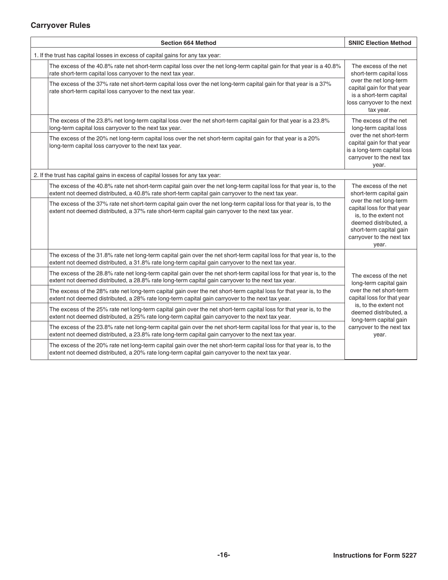### <span id="page-15-0"></span>**Carryover Rules**

|                                                                                 | <b>SNIIC Election Method</b>                                                                                                                                                                                                 |                                                                                                                                                                         |  |
|---------------------------------------------------------------------------------|------------------------------------------------------------------------------------------------------------------------------------------------------------------------------------------------------------------------------|-------------------------------------------------------------------------------------------------------------------------------------------------------------------------|--|
| 1. If the trust has capital losses in excess of capital gains for any tax year: |                                                                                                                                                                                                                              |                                                                                                                                                                         |  |
|                                                                                 | The excess of the 40.8% rate net short-term capital loss over the net long-term capital gain for that year is a 40.8%<br>rate short-term capital loss carryover to the next tax year.                                        | The excess of the net<br>short-term capital loss                                                                                                                        |  |
|                                                                                 | The excess of the 37% rate net short-term capital loss over the net long-term capital gain for that year is a 37%<br>rate short-term capital loss carryover to the next tax year.                                            | over the net long-term<br>capital gain for that year<br>is a short-term capital<br>loss carryover to the next<br>tax year.                                              |  |
|                                                                                 | The excess of the 23.8% net long-term capital loss over the net short-term capital gain for that year is a 23.8%<br>long-term capital loss carryover to the next tax year.                                                   | The excess of the net<br>long-term capital loss                                                                                                                         |  |
|                                                                                 | The excess of the 20% net long-term capital loss over the net short-term capital gain for that year is a 20%<br>long-term capital loss carryover to the next tax year.                                                       | over the net short-term<br>capital gain for that year<br>is a long-term capital loss<br>carryover to the next tax<br>year.                                              |  |
|                                                                                 | 2. If the trust has capital gains in excess of capital losses for any tax year:                                                                                                                                              |                                                                                                                                                                         |  |
|                                                                                 | The excess of the 40.8% rate net short-term capital gain over the net long-term capital loss for that year is, to the<br>extent not deemed distributed, a 40.8% rate short-term capital gain carryover to the next tax year. | The excess of the net<br>short-term capital gain                                                                                                                        |  |
|                                                                                 | The excess of the 37% rate net short-term capital gain over the net long-term capital loss for that year is, to the<br>extent not deemed distributed, a 37% rate short-term capital gain carryover to the next tax year.     | over the net long-term<br>capital loss for that year<br>is, to the extent not<br>deemed distributed, a<br>short-term capital gain<br>carryover to the next tax<br>year. |  |
|                                                                                 | The excess of the 31.8% rate net long-term capital gain over the net short-term capital loss for that year is, to the<br>extent not deemed distributed, a 31.8% rate long-term capital gain carryover to the next tax year.  |                                                                                                                                                                         |  |
|                                                                                 | The excess of the 28.8% rate net long-term capital gain over the net short-term capital loss for that year is, to the<br>extent not deemed distributed, a 28.8% rate long-term capital gain carryover to the next tax year.  | The excess of the net<br>long-term capital gain                                                                                                                         |  |
|                                                                                 | The excess of the 28% rate net long-term capital gain over the net short-term capital loss for that year is, to the<br>extent not deemed distributed, a 28% rate long-term capital gain carryover to the next tax year.      | over the net short-term<br>capital loss for that year<br>is, to the extent not<br>deemed distributed, a<br>long-term capital gain                                       |  |
|                                                                                 | The excess of the 25% rate net long-term capital gain over the net short-term capital loss for that year is, to the<br>extent not deemed distributed, a 25% rate long-term capital gain carryover to the next tax year.      |                                                                                                                                                                         |  |
|                                                                                 | The excess of the 23.8% rate net long-term capital gain over the net short-term capital loss for that year is, to the<br>extent not deemed distributed, a 23.8% rate long-term capital gain carryover to the next tax year.  | carryover to the next tax<br>year.                                                                                                                                      |  |
|                                                                                 | The excess of the 20% rate net long-term capital gain over the net short-term capital loss for that year is, to the<br>extent not deemed distributed, a 20% rate long-term capital gain carryover to the next tax year.      |                                                                                                                                                                         |  |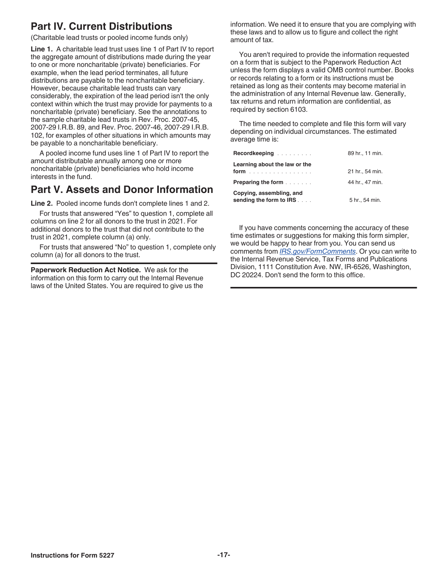# **Part IV. Current Distributions**

(Charitable lead trusts or pooled income funds only)

**Line 1.** A charitable lead trust uses line 1 of Part IV to report the aggregate amount of distributions made during the year to one or more noncharitable (private) beneficiaries. For example, when the lead period terminates, all future distributions are payable to the noncharitable beneficiary. However, because charitable lead trusts can vary considerably, the expiration of the lead period isn't the only context within which the trust may provide for payments to a noncharitable (private) beneficiary. See the annotations to the sample charitable lead trusts in Rev. Proc. 2007-45, 2007-29 I.R.B. 89, and Rev. Proc. 2007-46, 2007-29 I.R.B. 102, for examples of other situations in which amounts may be payable to a noncharitable beneficiary.

A pooled income fund uses line 1 of Part IV to report the amount distributable annually among one or more noncharitable (private) beneficiaries who hold income interests in the fund.

# **Part V. Assets and Donor Information**

**Line 2.** Pooled income funds don't complete lines 1 and 2.

For trusts that answered "Yes" to question 1, complete all columns on line 2 for all donors to the trust in 2021. For additional donors to the trust that did not contribute to the trust in 2021, complete column (a) only.

For trusts that answered "No" to question 1, complete only column (a) for all donors to the trust.

**Paperwork Reduction Act Notice.** We ask for the information on this form to carry out the Internal Revenue laws of the United States. You are required to give us the

information. We need it to ensure that you are complying with these laws and to allow us to figure and collect the right amount of tax.

You aren't required to provide the information requested on a form that is subject to the Paperwork Reduction Act unless the form displays a valid OMB control number. Books or records relating to a form or its instructions must be retained as long as their contents may become material in the administration of any Internal Revenue law. Generally, tax returns and return information are confidential, as required by section 6103.

The time needed to complete and file this form will vary depending on individual circumstances. The estimated average time is:

| Recordkeeping                                                          | 89 hr., 11 min. |
|------------------------------------------------------------------------|-----------------|
| Learning about the law or the<br>form                                  | 21 hr., 54 min. |
| <b>Preparing the form <i>manufacture in the Preparing the form</i></b> | 44 hr., 47 min. |
| Copying, assembling, and<br>sending the form to IRS                    | 5 hr., 54 min.  |

If you have comments concerning the accuracy of these time estimates or suggestions for making this form simpler, we would be happy to hear from you. You can send us comments from *[IRS.gov/FormComments](https://www.irs.gov/forms-pubs/comment-on-tax-forms-and-publications)*. Or you can write to the Internal Revenue Service, Tax Forms and Publications Division, 1111 Constitution Ave. NW, IR-6526, Washington, DC 20224. Don't send the form to this office.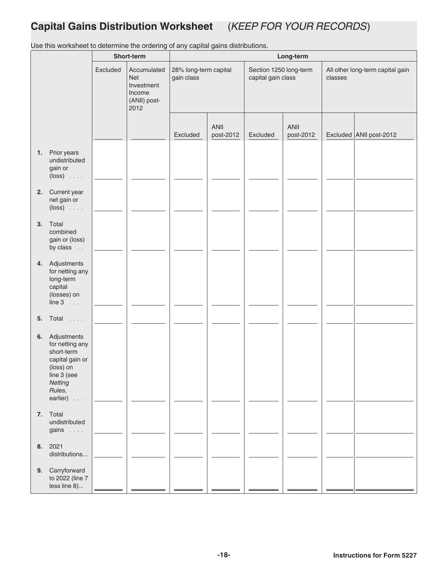# <span id="page-17-0"></span>**Capital Gains Distribution Worksheet** (*KEEP FOR YOUR RECORDS*)

**Short-term Long-term** Excluded Accumulated Net Investment Income (ANII) post-2012 28% long-term capital gain class Section 1250 long-term capital gain class All other long-term capital gain classes Excluded ANII post-2012 Excluded ANII<br>post-2012 Excluded ANII post-2012 **1.** Prior years undistributed gain or (loss) .... **2.** Current year net gain or (loss) .... **3.** Total combined gain or (loss) by class . . **4.** Adjustments for netting any long-term capital (losses) on line 3 .... **5.** Total .... **6.** Adjustments for netting any short-term capital gain or (loss) on line 3 (see *Netting Rules,* earlier) . . . **7.** Total undistributed gains .... **8.** 2021 distributions... **9.** Carryforward to 2022 (line 7 less line 8)...

Use this worksheet to determine the ordering of any capital gains distributions.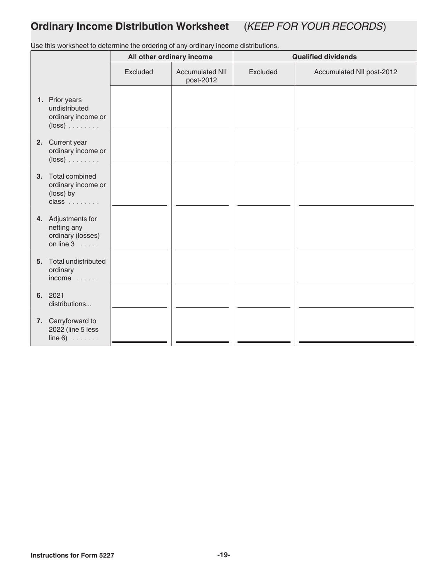# <span id="page-18-0"></span>**Ordinary Income Distribution Worksheet** (*KEEP FOR YOUR RECORDS*)

Use this worksheet to determine the ordering of any ordinary income distributions.

|         |                                                                              | All other ordinary income |                                     | <b>Qualified dividends</b> |                           |  |
|---------|------------------------------------------------------------------------------|---------------------------|-------------------------------------|----------------------------|---------------------------|--|
|         |                                                                              | Excluded                  | <b>Accumulated NII</b><br>post-2012 | Excluded                   | Accumulated NII post-2012 |  |
|         | 1. Prior years<br>undistributed<br>ordinary income or<br>$(\text{loss})$     |                           |                                     |                            |                           |  |
|         | 2. Current year<br>ordinary income or<br>$(\text{loss})$                     |                           |                                     |                            |                           |  |
|         | 3. Total combined<br>ordinary income or<br>(loss) by<br>$class \dots$        |                           |                                     |                            |                           |  |
|         | 4. Adjustments for<br>netting any<br>ordinary (losses)<br>on line $3 \ldots$ |                           |                                     |                            |                           |  |
|         | 5. Total undistributed<br>ordinary<br>$income$                               |                           |                                     |                            |                           |  |
| 6. 2021 | distributions                                                                |                           |                                     |                            |                           |  |
|         | 7. Carryforward to<br>2022 (line 5 less<br>$line 6)$                         |                           |                                     |                            |                           |  |